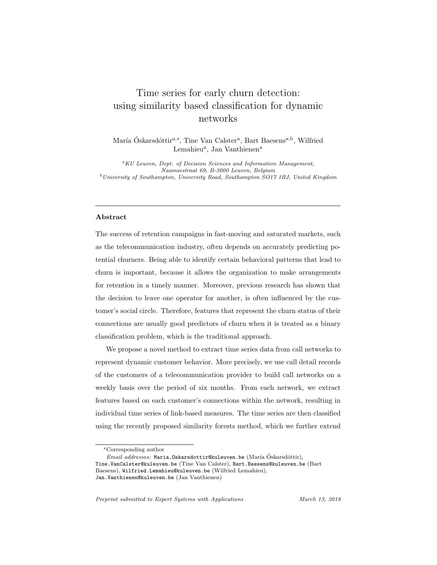# Time series for early churn detection: using similarity based classification for dynamic networks

María Óskarsdóttir<sup>a,∗</sup>, Tine Van Calster<sup>a</sup>, Bart Baesens<sup>a,b</sup>, Wilfried Lemahieu<sup>a</sup>, Jan Vanthienen<sup>a</sup>

<sup>a</sup>KU Leuven, Dept. of Decision Sciences and Information Management, Naamsestraat 69, B-3000 Leuven, Belgium  $b$ University of Southampton, University Road, Southampton SO17 1BJ, United Kingdom

# Abstract

The success of retention campaigns in fast-moving and saturated markets, such as the telecommunication industry, often depends on accurately predicting potential churners. Being able to identify certain behavioral patterns that lead to churn is important, because it allows the organization to make arrangements for retention in a timely manner. Moreover, previous research has shown that the decision to leave one operator for another, is often influenced by the customer's social circle. Therefore, features that represent the churn status of their connections are usually good predictors of churn when it is treated as a binary classification problem, which is the traditional approach.

We propose a novel method to extract time series data from call networks to represent dynamic customer behavior. More precisely, we use call detail records of the customers of a telecommunication provider to build call networks on a weekly basis over the period of six months. From each network, we extract features based on each customer's connections within the network, resulting in individual time series of link-based measures. The time series are then classified using the recently proposed similarity forests method, which we further extend

<sup>∗</sup>Corresponding author

 $Email \ addresses: Maria. Oskarsdottr@kuleuven.be (María Óskarsdóttir),$ 

Tine.VanCalster@kuleuven.be (Tine Van Calster), Bart.Baesens@kuleuven.be (Bart Baesens), Wilfried.Lemahieu@kuleuven.be (Wilfried Lemahieu), Jan.Vanthienen@kuleuven.be (Jan Vanthienen)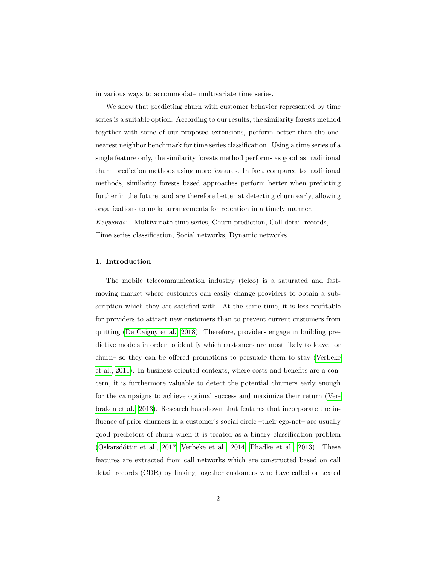in various ways to accommodate multivariate time series.

We show that predicting churn with customer behavior represented by time series is a suitable option. According to our results, the similarity forests method together with some of our proposed extensions, perform better than the onenearest neighbor benchmark for time series classification. Using a time series of a single feature only, the similarity forests method performs as good as traditional churn prediction methods using more features. In fact, compared to traditional methods, similarity forests based approaches perform better when predicting further in the future, and are therefore better at detecting churn early, allowing organizations to make arrangements for retention in a timely manner. Keywords: Multivariate time series, Churn prediction, Call detail records, Time series classification, Social networks, Dynamic networks

# 1. Introduction

The mobile telecommunication industry (telco) is a saturated and fastmoving market where customers can easily change providers to obtain a subscription which they are satisfied with. At the same time, it is less profitable for providers to attract new customers than to prevent current customers from quitting [\(De Caigny et al., 2018\)](#page-28-0). Therefore, providers engage in building predictive models in order to identify which customers are most likely to leave –or churn– so they can be offered promotions to persuade them to stay [\(Verbeke](#page-31-0) [et al., 2011\)](#page-31-0). In business-oriented contexts, where costs and benefits are a concern, it is furthermore valuable to detect the potential churners early enough for the campaigns to achieve optimal success and maximize their return [\(Ver](#page-31-1)[braken et al., 2013\)](#page-31-1). Research has shown that features that incorporate the influence of prior churners in a customer's social circle –their ego-net– are usually good predictors of churn when it is treated as a binary classification problem  $(6$ skarsdóttir et al., 2017; [Verbeke et al., 2014;](#page-31-2) [Phadke et al., 2013\)](#page-30-0). These features are extracted from call networks which are constructed based on call detail records (CDR) by linking together customers who have called or texted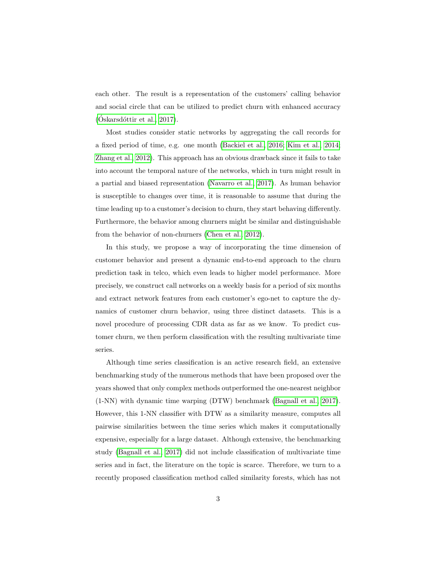each other. The result is a representation of the customers' calling behavior and social circle that can be utilized to predict churn with enhanced accuracy  $(Oskarsdóttir et al., 2017).$ 

Most studies consider static networks by aggregating the call records for a fixed period of time, e.g. one month [\(Backiel et al., 2016;](#page-27-0) [Kim et al., 2014;](#page-29-1) [Zhang et al., 2012\)](#page-32-0). This approach has an obvious drawback since it fails to take into account the temporal nature of the networks, which in turn might result in a partial and biased representation [\(Navarro et al., 2017\)](#page-29-2). As human behavior is susceptible to changes over time, it is reasonable to assume that during the time leading up to a customer's decision to churn, they start behaving differently. Furthermore, the behavior among churners might be similar and distinguishable from the behavior of non-churners [\(Chen et al., 2012\)](#page-27-1).

In this study, we propose a way of incorporating the time dimension of customer behavior and present a dynamic end-to-end approach to the churn prediction task in telco, which even leads to higher model performance. More precisely, we construct call networks on a weekly basis for a period of six months and extract network features from each customer's ego-net to capture the dynamics of customer churn behavior, using three distinct datasets. This is a novel procedure of processing CDR data as far as we know. To predict customer churn, we then perform classification with the resulting multivariate time series.

Although time series classification is an active research field, an extensive benchmarking study of the numerous methods that have been proposed over the years showed that only complex methods outperformed the one-nearest neighbor (1-NN) with dynamic time warping (DTW) benchmark [\(Bagnall et al., 2017\)](#page-27-2). However, this 1-NN classifier with DTW as a similarity measure, computes all pairwise similarities between the time series which makes it computationally expensive, especially for a large dataset. Although extensive, the benchmarking study [\(Bagnall et al., 2017\)](#page-27-2) did not include classification of multivariate time series and in fact, the literature on the topic is scarce. Therefore, we turn to a recently proposed classification method called similarity forests, which has not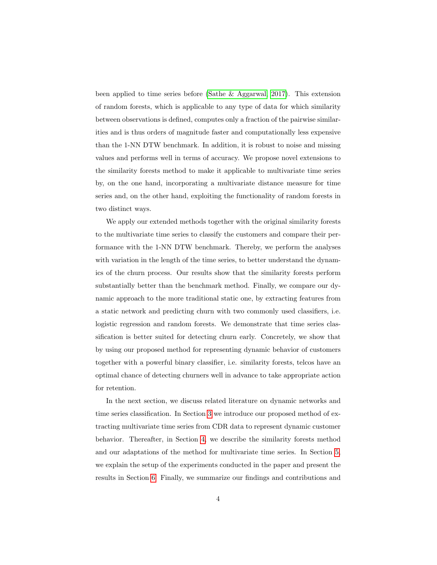been applied to time series before [\(Sathe & Aggarwal, 2017\)](#page-30-1). This extension of random forests, which is applicable to any type of data for which similarity between observations is defined, computes only a fraction of the pairwise similarities and is thus orders of magnitude faster and computationally less expensive than the 1-NN DTW benchmark. In addition, it is robust to noise and missing values and performs well in terms of accuracy. We propose novel extensions to the similarity forests method to make it applicable to multivariate time series by, on the one hand, incorporating a multivariate distance measure for time series and, on the other hand, exploiting the functionality of random forests in two distinct ways.

We apply our extended methods together with the original similarity forests to the multivariate time series to classify the customers and compare their performance with the 1-NN DTW benchmark. Thereby, we perform the analyses with variation in the length of the time series, to better understand the dynamics of the churn process. Our results show that the similarity forests perform substantially better than the benchmark method. Finally, we compare our dynamic approach to the more traditional static one, by extracting features from a static network and predicting churn with two commonly used classifiers, i.e. logistic regression and random forests. We demonstrate that time series classification is better suited for detecting churn early. Concretely, we show that by using our proposed method for representing dynamic behavior of customers together with a powerful binary classifier, i.e. similarity forests, telcos have an optimal chance of detecting churners well in advance to take appropriate action for retention.

In the next section, we discuss related literature on dynamic networks and time series classification. In Section [3](#page-6-0) we introduce our proposed method of extracting multivariate time series from CDR data to represent dynamic customer behavior. Thereafter, in Section [4,](#page-11-0) we describe the similarity forests method and our adaptations of the method for multivariate time series. In Section [5,](#page-14-0) we explain the setup of the experiments conducted in the paper and present the results in Section [6.](#page-17-0) Finally, we summarize our findings and contributions and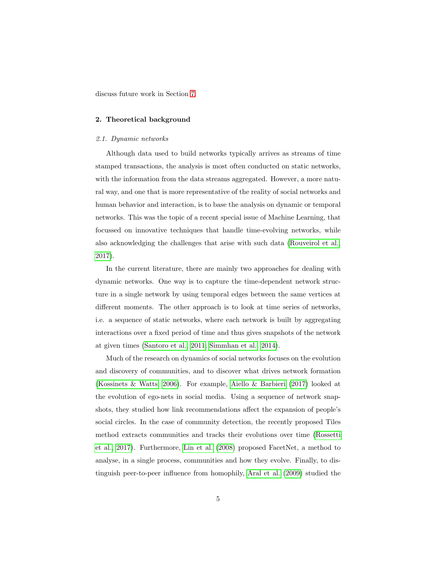discuss future work in Section [7.](#page-24-0)

# 2. Theoretical background

#### 2.1. Dynamic networks

Although data used to build networks typically arrives as streams of time stamped transactions, the analysis is most often conducted on static networks, with the information from the data streams aggregated. However, a more natural way, and one that is more representative of the reality of social networks and human behavior and interaction, is to base the analysis on dynamic or temporal networks. This was the topic of a recent special issue of Machine Learning, that focussed on innovative techniques that handle time-evolving networks, while also acknowledging the challenges that arise with such data [\(Rouveirol et al.,](#page-30-2) [2017\)](#page-30-2).

In the current literature, there are mainly two approaches for dealing with dynamic networks. One way is to capture the time-dependent network structure in a single network by using temporal edges between the same vertices at different moments. The other approach is to look at time series of networks, i.e. a sequence of static networks, where each network is built by aggregating interactions over a fixed period of time and thus gives snapshots of the network at given times [\(Santoro et al., 2011;](#page-30-3) [Simmhan et al., 2014\)](#page-31-3).

Much of the research on dynamics of social networks focuses on the evolution and discovery of communities, and to discover what drives network formation [\(Kossinets & Watts, 2006\)](#page-29-3). For example, [Aiello & Barbieri](#page-27-3) [\(2017\)](#page-27-3) looked at the evolution of ego-nets in social media. Using a sequence of network snapshots, they studied how link recommendations affect the expansion of people's social circles. In the case of community detection, the recently proposed Tiles method extracts communities and tracks their evolutions over time [\(Rossetti](#page-30-4) [et al., 2017\)](#page-30-4). Furthermore, [Lin et al.](#page-29-4) [\(2008\)](#page-29-4) proposed FacetNet, a method to analyse, in a single process, communities and how they evolve. Finally, to distinguish peer-to-peer influence from homophily, [Aral et al.](#page-27-4) [\(2009\)](#page-27-4) studied the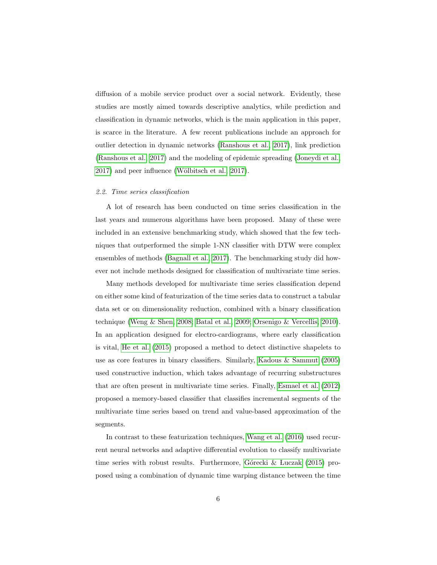diffusion of a mobile service product over a social network. Evidently, these studies are mostly aimed towards descriptive analytics, while prediction and classification in dynamic networks, which is the main application in this paper, is scarce in the literature. A few recent publications include an approach for outlier detection in dynamic networks [\(Ranshous et al., 2017\)](#page-30-5), link prediction [\(Ranshous et al., 2017\)](#page-30-5) and the modeling of epidemic spreading [\(Joneydi et al.,](#page-28-1)  $2017$ ) and peer influence (Wölbitsch et al.,  $2017$ ).

## 2.2. Time series classification

A lot of research has been conducted on time series classification in the last years and numerous algorithms have been proposed. Many of these were included in an extensive benchmarking study, which showed that the few techniques that outperformed the simple 1-NN classifier with DTW were complex ensembles of methods [\(Bagnall et al., 2017\)](#page-27-2). The benchmarking study did however not include methods designed for classification of multivariate time series.

Many methods developed for multivariate time series classification depend on either some kind of featurization of the time series data to construct a tabular data set or on dimensionality reduction, combined with a binary classification technique [\(Weng & Shen, 2008;](#page-31-5) [Batal et al., 2009;](#page-27-5) [Orsenigo & Vercellis, 2010\)](#page-29-5). In an application designed for electro-cardiograms, where early classification is vital, [He et al.](#page-28-2) [\(2015\)](#page-28-2) proposed a method to detect distinctive shapelets to use as core features in binary classifiers. Similarly, [Kadous & Sammut](#page-28-3) [\(2005\)](#page-28-3) used constructive induction, which takes advantage of recurring substructures that are often present in multivariate time series. Finally, [Esmael et al.](#page-28-4) [\(2012\)](#page-28-4) proposed a memory-based classifier that classifies incremental segments of the multivariate time series based on trend and value-based approximation of the segments.

In contrast to these featurization techniques, [Wang et al.](#page-31-6) [\(2016\)](#page-31-6) used recurrent neural networks and adaptive differential evolution to classify multivariate time series with robust results. Furthermore, Górecki  $&$  Luczak [\(2015\)](#page-28-5) proposed using a combination of dynamic time warping distance between the time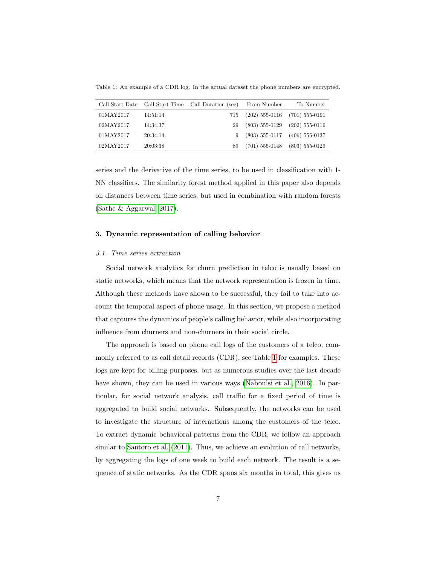<span id="page-6-1"></span>Table 1: An example of a CDR log. In the actual dataset the phone numbers are encrypted.

|           |          | Call Start Date Call Start Time Call Duration (sec) | From Number                       | To Number        |
|-----------|----------|-----------------------------------------------------|-----------------------------------|------------------|
| 01MAY2017 | 14:51:14 | 715                                                 | $(202)$ 555-0116 $(701)$ 555-0191 |                  |
| 02MAY2017 | 14:34:37 | 29                                                  | $(803)$ 555-0129 $(202)$ 555-0116 |                  |
| 01MAY2017 | 20:34:14 |                                                     | $(803)$ 555-0117 $(406)$ 555-0137 |                  |
| 02MAY2017 | 20:03:38 | 89                                                  | $(701)$ 555-0148                  | $(803)$ 555-0129 |

series and the derivative of the time series, to be used in classification with 1- NN classifiers. The similarity forest method applied in this paper also depends on distances between time series, but used in combination with random forests [\(Sathe & Aggarwal, 2017\)](#page-30-1).

# <span id="page-6-0"></span>3. Dynamic representation of calling behavior

#### 3.1. Time series extraction

Social network analytics for churn prediction in telco is usually based on static networks, which means that the network representation is frozen in time. Although these methods have shown to be successful, they fail to take into account the temporal aspect of phone usage. In this section, we propose a method that captures the dynamics of people's calling behavior, while also incorporating influence from churners and non-churners in their social circle.

The approach is based on phone call logs of the customers of a telco, commonly referred to as call detail records (CDR), see Table [1](#page-6-1) for examples. These logs are kept for billing purposes, but as numerous studies over the last decade have shown, they can be used in various ways [\(Naboulsi et al., 2016\)](#page-29-6). In particular, for social network analysis, call traffic for a fixed period of time is aggregated to build social networks. Subsequently, the networks can be used to investigate the structure of interactions among the customers of the telco. To extract dynamic behavioral patterns from the CDR, we follow an approach similar to [Santoro et al.](#page-30-3) [\(2011\)](#page-30-3). Thus, we achieve an evolution of call networks, by aggregating the logs of one week to build each network. The result is a sequence of static networks. As the CDR spans six months in total, this gives us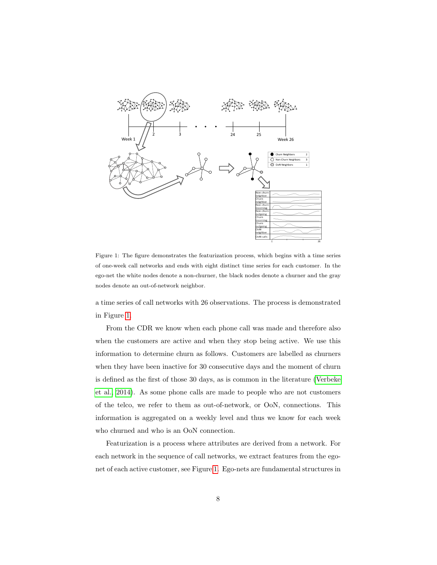<span id="page-7-0"></span>

Figure 1: The figure demonstrates the featurization process, which begins with a time series of one-week call networks and ends with eight distinct time series for each customer. In the ego-net the white nodes denote a non-churner, the black nodes denote a churner and the gray nodes denote an out-of-network neighbor.

a time series of call networks with 26 observations. The process is demonstrated in Figure [1.](#page-7-0)

From the CDR we know when each phone call was made and therefore also when the customers are active and when they stop being active. We use this information to determine churn as follows. Customers are labelled as churners when they have been inactive for 30 consecutive days and the moment of churn is defined as the first of those 30 days, as is common in the literature [\(Verbeke](#page-31-2) [et al., 2014\)](#page-31-2). As some phone calls are made to people who are not customers of the telco, we refer to them as out-of-network, or OoN, connections. This information is aggregated on a weekly level and thus we know for each week who churned and who is an OoN connection.

Featurization is a process where attributes are derived from a network. For each network in the sequence of call networks, we extract features from the egonet of each active customer, see Figure [1.](#page-7-0) Ego-nets are fundamental structures in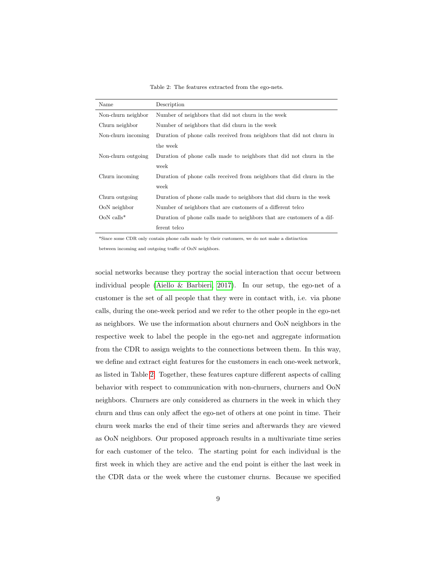Table 2: The features extracted from the ego-nets.

<span id="page-8-0"></span>

| Name               | Description                                                            |
|--------------------|------------------------------------------------------------------------|
| Non-churn neighbor | Number of neighbors that did not churn in the week                     |
| Churn neighbor     | Number of neighbors that did churn in the week                         |
| Non-churn incoming | Duration of phone calls received from neighbors that did not churn in  |
|                    | the week                                                               |
| Non-churn outgoing | Duration of phone calls made to neighbors that did not churn in the    |
|                    | week                                                                   |
| Churn incoming     | Duration of phone calls received from neighbors that did churn in the  |
|                    | week                                                                   |
| Churn outgoing     | Duration of phone calls made to neighbors that did churn in the week   |
| OoN neighbor       | Number of neighbors that are customers of a different telco            |
| $OoN$ calls*       | Duration of phone calls made to neighbors that are customers of a dif- |
|                    | ferent telco                                                           |

\*Since some CDR only contain phone calls made by their customers, we do not make a distinction

between incoming and outgoing traffic of OoN neighbors.

social networks because they portray the social interaction that occur between individual people [\(Aiello & Barbieri, 2017\)](#page-27-3). In our setup, the ego-net of a customer is the set of all people that they were in contact with, i.e. via phone calls, during the one-week period and we refer to the other people in the ego-net as neighbors. We use the information about churners and OoN neighbors in the respective week to label the people in the ego-net and aggregate information from the CDR to assign weights to the connections between them. In this way, we define and extract eight features for the customers in each one-week network, as listed in Table [2.](#page-8-0) Together, these features capture different aspects of calling behavior with respect to communication with non-churners, churners and OoN neighbors. Churners are only considered as churners in the week in which they churn and thus can only affect the ego-net of others at one point in time. Their churn week marks the end of their time series and afterwards they are viewed as OoN neighbors. Our proposed approach results in a multivariate time series for each customer of the telco. The starting point for each individual is the first week in which they are active and the end point is either the last week in the CDR data or the week where the customer churns. Because we specified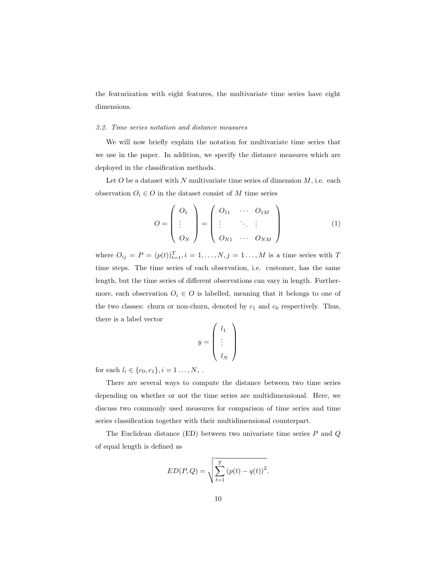the featurization with eight features, the multivariate time series have eight dimensions.

#### <span id="page-9-0"></span>3.2. Time series notation and distance measures

We will now briefly explain the notation for multivariate time series that we use in the paper. In addition, we specify the distance measures which are deployed in the classification methods.

Let  $O$  be a dataset with  $N$  multivariate time series of dimension  $M$ , i.e. each observation  $O_i \in O$  in the dataset consist of M time series

$$
O = \begin{pmatrix} O_1 \\ \vdots \\ O_N \end{pmatrix} = \begin{pmatrix} O_{11} & \cdots & O_{1M} \\ \vdots & \ddots & \vdots \\ O_{N1} & \cdots & O_{NM} \end{pmatrix}
$$
 (1)

where  $O_{ij} = P = (p(t))_{t=1}^T, i = 1, ..., N, j = 1, ..., M$  is a time series with T time steps. The time series of each observation, i.e. customer, has the same length, but the time series of different observations can vary in length. Furthermore, each observation  $O_i \in O$  is labelled, meaning that it belongs to one of the two classes: churn or non-churn, denoted by  $c_1$  and  $c_0$  respectively. Thus, there is a label vector

$$
y = \left(\begin{array}{c} l_1 \\ \vdots \\ l_N \end{array}\right)
$$

for each  $l_i \in \{c_0, c_1\}, i = 1 \dots, N,$ .

There are several ways to compute the distance between two time series depending on whether or not the time series are multidimensional. Here, we discuss two commonly used measures for comparison of time series and time series classification together with their multidimensional counterpart.

The Euclidean distance (ED) between two univariate time series  $P$  and  $Q$ of equal length is defined as

$$
ED(P,Q) = \sqrt{\sum_{t=1}^{T} (p(t) - q(t))^{2}}.
$$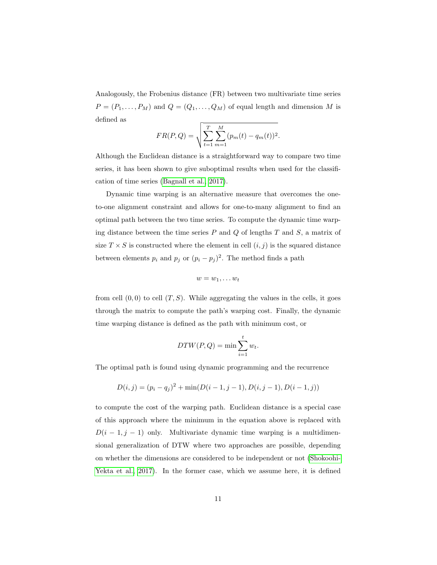Analogously, the Frobenius distance (FR) between two multivariate time series  $P = (P_1, \ldots, P_M)$  and  $Q = (Q_1, \ldots, Q_M)$  of equal length and dimension M is defined as

$$
FR(P,Q) = \sqrt{\sum_{t=1}^{T} \sum_{m=1}^{M} (p_m(t) - q_m(t))^2}.
$$

Although the Euclidean distance is a straightforward way to compare two time series, it has been shown to give suboptimal results when used for the classification of time series [\(Bagnall et al., 2017\)](#page-27-2).

Dynamic time warping is an alternative measure that overcomes the oneto-one alignment constraint and allows for one-to-many alignment to find an optimal path between the two time series. To compute the dynamic time warping distance between the time series  $P$  and  $Q$  of lengths  $T$  and  $S$ , a matrix of size  $T \times S$  is constructed where the element in cell  $(i, j)$  is the squared distance between elements  $p_i$  and  $p_j$  or  $(p_i - p_j)^2$ . The method finds a path

$$
w=w_1,\ldots w_t
$$

from cell  $(0,0)$  to cell  $(T, S)$ . While aggregating the values in the cells, it goes through the matrix to compute the path's warping cost. Finally, the dynamic time warping distance is defined as the path with minimum cost, or

$$
DTW(P,Q) = \min \sum_{i=1}^{t} w_t.
$$

The optimal path is found using dynamic programming and the recurrence

$$
D(i, j) = (p_i - q_j)^2 + \min(D(i - 1, j - 1), D(i, j - 1), D(i - 1, j))
$$

to compute the cost of the warping path. Euclidean distance is a special case of this approach where the minimum in the equation above is replaced with  $D(i-1, j-1)$  only. Multivariate dynamic time warping is a multidimensional generalization of DTW where two approaches are possible, depending on whether the dimensions are considered to be independent or not [\(Shokoohi-](#page-30-6)[Yekta et al., 2017\)](#page-30-6). In the former case, which we assume here, it is defined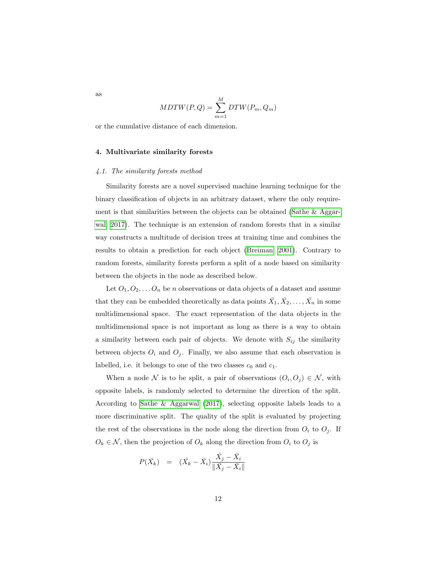$$
MDTW(P,Q) = \sum_{m=1}^{M} DTW(P_m, Q_m)
$$

or the cumulative distance of each dimension.

## <span id="page-11-0"></span>4. Multivariate similarity forests

#### <span id="page-11-1"></span>4.1. The similarity forests method

Similarity forests are a novel supervised machine learning technique for the binary classification of objects in an arbitrary dataset, where the only requirement is that similarities between the objects can be obtained [\(Sathe & Aggar](#page-30-1)[wal, 2017\)](#page-30-1). The technique is an extension of random forests that in a similar way constructs a multitude of decision trees at training time and combines the results to obtain a prediction for each object [\(Breiman, 2001\)](#page-27-6). Contrary to random forests, similarity forests perform a split of a node based on similarity between the objects in the node as described below.

Let  $O_1, O_2, \ldots O_n$  be *n* observations or data objects of a dataset and assume that they can be embedded theoretically as data points  $\bar{X}_1, \bar{X}_2, \ldots, \bar{X}_n$  in some multidimensional space. The exact representation of the data objects in the multidimensional space is not important as long as there is a way to obtain a similarity between each pair of objects. We denote with  $S_{ij}$  the similarity between objects  $O_i$  and  $O_j$ . Finally, we also assume that each observation is labelled, i.e. it belongs to one of the two classes  $c_0$  and  $c_1$ .

When a node N is to be split, a pair of observations  $(O_i, O_j) \in \mathcal{N}$ , with opposite labels, is randomly selected to determine the direction of the split. According to [Sathe & Aggarwal](#page-30-1) [\(2017\)](#page-30-1), selecting opposite labels leads to a more discriminative split. The quality of the split is evaluated by projecting the rest of the observations in the node along the direction from  $O_i$  to  $O_j$ . If  $O_k \in \mathcal{N}$ , then the projection of  $O_k$  along the direction from  $O_i$  to  $O_j$  is

$$
P(\bar{X}_k) = (\bar{X}_k - \bar{X}_i) \frac{\bar{X}_j - \bar{X}_i}{\|\bar{X}_j - \bar{X}_i\|}
$$

as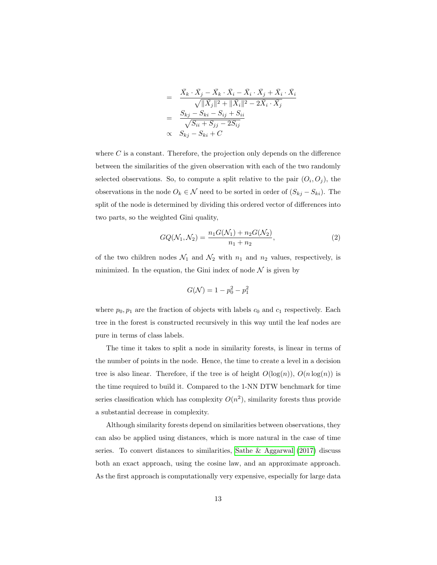$$
= \frac{\bar{X}_k \cdot \bar{X}_j - \bar{X}_k \cdot \bar{X}_i - \bar{X}_i \cdot \bar{X}_j + \bar{X}_i \cdot \bar{X}_i}{\sqrt{\|\bar{X}_j\|^2 + \|\bar{X}_i\|^2 - 2\bar{X}_i \cdot \bar{X}_j}}
$$
  

$$
= \frac{S_{kj} - S_{ki} - S_{ij} + S_{ii}}{\sqrt{S_{ii} + S_{jj} - 2S_{ij}}}
$$
  

$$
\propto S_{kj} - S_{ki} + C
$$

where  $C$  is a constant. Therefore, the projection only depends on the difference between the similarities of the given observation with each of the two randomly selected observations. So, to compute a split relative to the pair  $(O_i, O_j)$ , the observations in the node  $O_k \in \mathcal{N}$  need to be sorted in order of  $(S_{kj} - S_{ki})$ . The split of the node is determined by dividing this ordered vector of differences into two parts, so the weighted Gini quality,

<span id="page-12-0"></span>
$$
GQ(\mathcal{N}_1, \mathcal{N}_2) = \frac{n_1 G(\mathcal{N}_1) + n_2 G(\mathcal{N}_2)}{n_1 + n_2},
$$
\n(2)

of the two children nodes  $\mathcal{N}_1$  and  $\mathcal{N}_2$  with  $n_1$  and  $n_2$  values, respectively, is minimized. In the equation, the Gini index of node  $\mathcal N$  is given by

$$
G(\mathcal{N}) = 1 - p_0^2 - p_1^2
$$

where  $p_0, p_1$  are the fraction of objects with labels  $c_0$  and  $c_1$  respectively. Each tree in the forest is constructed recursively in this way until the leaf nodes are pure in terms of class labels.

The time it takes to split a node in similarity forests, is linear in terms of the number of points in the node. Hence, the time to create a level in a decision tree is also linear. Therefore, if the tree is of height  $O(\log(n))$ ,  $O(n \log(n))$  is the time required to build it. Compared to the 1-NN DTW benchmark for time series classification which has complexity  $O(n^2)$ , similarity forests thus provide a substantial decrease in complexity.

Although similarity forests depend on similarities between observations, they can also be applied using distances, which is more natural in the case of time series. To convert distances to similarities, [Sathe & Aggarwal](#page-30-1) [\(2017\)](#page-30-1) discuss both an exact approach, using the cosine law, and an approximate approach. As the first approach is computationally very expensive, especially for large data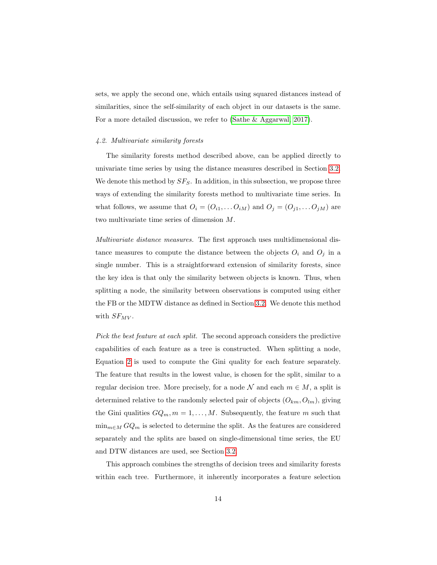sets, we apply the second one, which entails using squared distances instead of similarities, since the self-similarity of each object in our datasets is the same. For a more detailed discussion, we refer to [\(Sathe & Aggarwal, 2017\)](#page-30-1).

# <span id="page-13-0"></span>4.2. Multivariate similarity forests

The similarity forests method described above, can be applied directly to univariate time series by using the distance measures described in Section [3.2.](#page-9-0) We denote this method by  $SF_S$ . In addition, in this subsection, we propose three ways of extending the similarity forests method to multivariate time series. In what follows, we assume that  $O_i = (O_{i1}, \ldots O_{iM})$  and  $O_j = (O_{j1}, \ldots O_{jM})$  are two multivariate time series of dimension M.

Multivariate distance measures. The first approach uses multidimensional distance measures to compute the distance between the objects  $O_i$  and  $O_j$  in a single number. This is a straightforward extension of similarity forests, since the key idea is that only the similarity between objects is known. Thus, when splitting a node, the similarity between observations is computed using either the FB or the MDTW distance as defined in Section [3.2.](#page-9-0) We denote this method with  $SF_{MV}$ .

Pick the best feature at each split. The second approach considers the predictive capabilities of each feature as a tree is constructed. When splitting a node, Equation [2](#page-12-0) is used to compute the Gini quality for each feature separately. The feature that results in the lowest value, is chosen for the split, similar to a regular decision tree. More precisely, for a node  $\mathcal N$  and each  $m \in M$ , a split is determined relative to the randomly selected pair of objects  $(O_{km}, O_{lm})$ , giving the Gini qualities  $GQ_m$ ,  $m = 1, \ldots, M$ . Subsequently, the feature m such that  $\min_{m \in M} GQ_m$  is selected to determine the split. As the features are considered separately and the splits are based on single-dimensional time series, the EU and DTW distances are used, see Section [3.2.](#page-9-0)

This approach combines the strengths of decision trees and similarity forests within each tree. Furthermore, it inherently incorporates a feature selection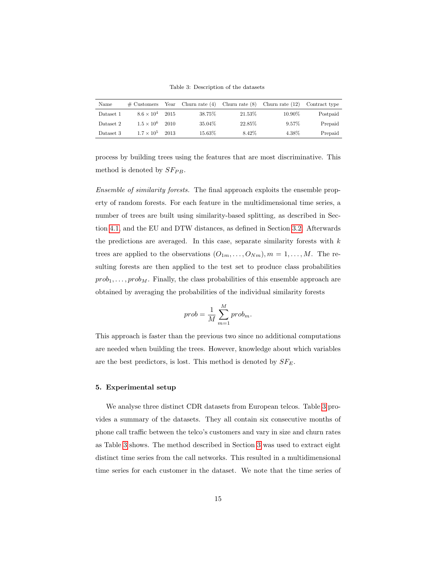Table 3: Description of the datasets

<span id="page-14-1"></span>

| Name      | $\#$ Customers      | Year |        | Churn rate $(4)$ Churn rate $(8)$ Churn rate $(12)$ |          | Contract type |
|-----------|---------------------|------|--------|-----------------------------------------------------|----------|---------------|
| Dataset 1 | $8.6 \times 10^{4}$ | 2015 | 38.75% | 21.53%                                              | 10.90%   | Postpaid      |
| Dataset 2 | $1.5 \times 10^{6}$ | 2010 | 35.04% | 22.85%                                              | $9.57\%$ | Prepaid       |
| Dataset 3 | $1.7 \times 10^{5}$ | 2013 | 15.63% | 8.42%                                               | 4.38%    | Prepaid       |

process by building trees using the features that are most discriminative. This method is denoted by  $S_F_{PB}$ .

Ensemble of similarity forests. The final approach exploits the ensemble property of random forests. For each feature in the multidimensional time series, a number of trees are built using similarity-based splitting, as described in Section [4.1,](#page-11-1) and the EU and DTW distances, as defined in Section [3.2.](#page-9-0) Afterwards the predictions are averaged. In this case, separate similarity forests with  $k$ trees are applied to the observations  $(O_{1m}, \ldots, O_{Nm}), m = 1, \ldots, M$ . The resulting forests are then applied to the test set to produce class probabilities  $prob_1, \ldots, prob_M$ . Finally, the class probabilities of this ensemble approach are obtained by averaging the probabilities of the individual similarity forests

$$
prob = \frac{1}{M} \sum_{m=1}^{M} prob_m.
$$

This approach is faster than the previous two since no additional computations are needed when building the trees. However, knowledge about which variables are the best predictors, is lost. This method is denoted by  $SF_E$ .

# <span id="page-14-0"></span>5. Experimental setup

We analyse three distinct CDR datasets from European telcos. Table [3](#page-14-1) provides a summary of the datasets. They all contain six consecutive months of phone call traffic between the telco's customers and vary in size and churn rates as Table [3](#page-14-1) shows. The method described in Section [3](#page-6-0) was used to extract eight distinct time series from the call networks. This resulted in a multidimensional time series for each customer in the dataset. We note that the time series of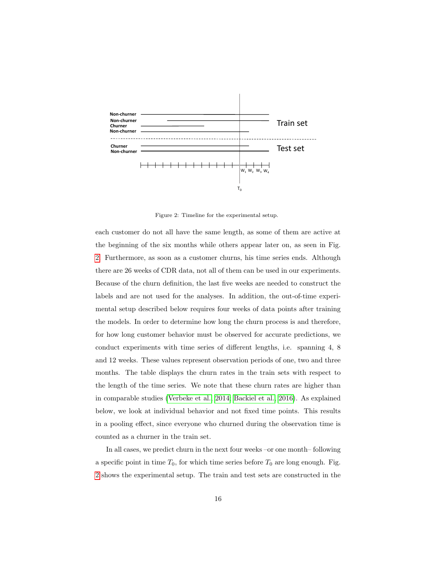<span id="page-15-0"></span>

Figure 2: Timeline for the experimental setup.

each customer do not all have the same length, as some of them are active at the beginning of the six months while others appear later on, as seen in Fig. [2.](#page-15-0) Furthermore, as soon as a customer churns, his time series ends. Although there are 26 weeks of CDR data, not all of them can be used in our experiments. Because of the churn definition, the last five weeks are needed to construct the labels and are not used for the analyses. In addition, the out-of-time experimental setup described below requires four weeks of data points after training the models. In order to determine how long the churn process is and therefore, for how long customer behavior must be observed for accurate predictions, we conduct experiments with time series of different lengths, i.e. spanning 4, 8 and 12 weeks. These values represent observation periods of one, two and three months. The table displays the churn rates in the train sets with respect to the length of the time series. We note that these churn rates are higher than in comparable studies [\(Verbeke et al., 2014;](#page-31-2) [Backiel et al., 2016\)](#page-27-0). As explained below, we look at individual behavior and not fixed time points. This results in a pooling effect, since everyone who churned during the observation time is counted as a churner in the train set.

In all cases, we predict churn in the next four weeks –or one month– following a specific point in time  $T_0$ , for which time series before  $T_0$  are long enough. Fig. [2](#page-15-0) shows the experimental setup. The train and test sets are constructed in the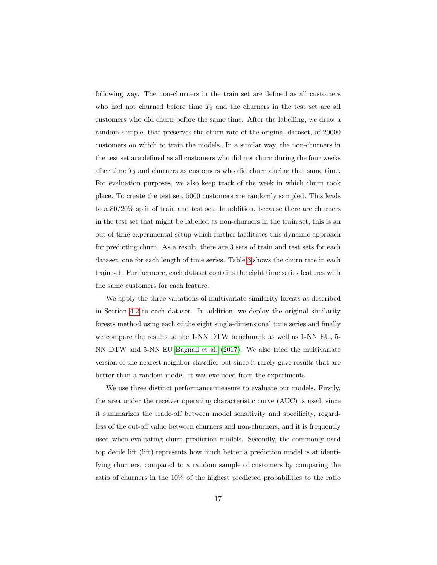following way. The non-churners in the train set are defined as all customers who had not churned before time  $T_0$  and the churners in the test set are all customers who did churn before the same time. After the labelling, we draw a random sample, that preserves the churn rate of the original dataset, of 20000 customers on which to train the models. In a similar way, the non-churners in the test set are defined as all customers who did not churn during the four weeks after time  $T_0$  and churners as customers who did churn during that same time. For evaluation purposes, we also keep track of the week in which churn took place. To create the test set, 5000 customers are randomly sampled. This leads to a 80/20% split of train and test set. In addition, because there are churners in the test set that might be labelled as non-churners in the train set, this is an out-of-time experimental setup which further facilitates this dynamic approach for predicting churn. As a result, there are 3 sets of train and test sets for each dataset, one for each length of time series. Table [3](#page-14-1) shows the churn rate in each train set. Furthermore, each dataset contains the eight time series features with the same customers for each feature.

We apply the three variations of multivariate similarity forests as described in Section [4.2](#page-13-0) to each dataset. In addition, we deploy the original similarity forests method using each of the eight single-dimensional time series and finally we compare the results to the 1-NN DTW benchmark as well as 1-NN EU, 5- NN DTW and 5-NN EU [Bagnall et al.](#page-27-2) [\(2017\)](#page-27-2). We also tried the multivariate version of the nearest neighbor classifier but since it rarely gave results that are better than a random model, it was excluded from the experiments.

We use three distinct performance measure to evaluate our models. Firstly, the area under the receiver operating characteristic curve (AUC) is used, since it summarizes the trade-off between model sensitivity and specificity, regardless of the cut-off value between churners and non-churners, and it is frequently used when evaluating churn prediction models. Secondly, the commonly used top decile lift (lift) represents how much better a prediction model is at identifying churners, compared to a random sample of customers by comparing the ratio of churners in the 10% of the highest predicted probabilities to the ratio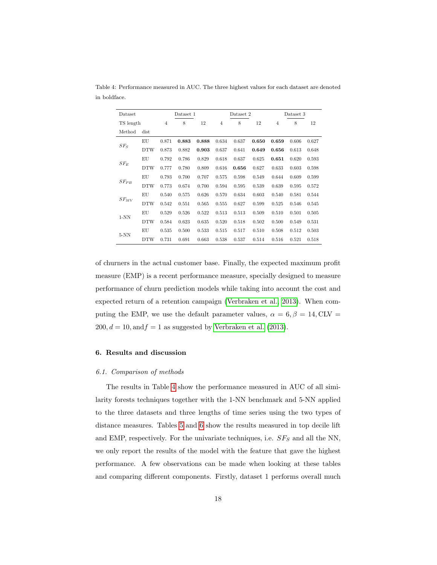| Dataset   |            |       | Dataset 1 |       |                | Dataset 2 |       |                | Dataset 3 |       |  |
|-----------|------------|-------|-----------|-------|----------------|-----------|-------|----------------|-----------|-------|--|
|           | TS length  |       | 8         | 12    | $\overline{4}$ | 8         | 12    | $\overline{4}$ | 8         | 12    |  |
| Method    | dist       |       |           |       |                |           |       |                |           |       |  |
|           | EU         | 0.871 | 0.883     | 0.888 | 0.634          | 0.637     | 0.650 | 0.659          | 0.606     | 0.627 |  |
| $SF_S$    | <b>DTW</b> | 0.873 | 0.882     | 0.903 | 0.637          | 0.641     | 0.649 | 0.656          | 0.613     | 0.648 |  |
|           | EU         | 0.792 | 0.786     | 0.829 | 0.618          | 0.637     | 0.625 | 0.651          | 0.620     | 0.593 |  |
| $SF_E$    | <b>DTW</b> | 0.777 | 0.780     | 0.809 | 0.616          | 0.656     | 0.627 | 0.633          | 0.603     | 0.598 |  |
|           | ΕU         | 0.793 | 0.700     | 0.707 | 0.575          | 0.598     | 0.549 | 0.644          | 0.609     | 0.599 |  |
| $SF_{PB}$ | <b>DTW</b> | 0.773 | 0.674     | 0.700 | 0.594          | 0.595     | 0.539 | 0.639          | 0.595     | 0.572 |  |
|           | EU         | 0.540 | 0.575     | 0.626 | 0.570          | 0.634     | 0.603 | 0.540          | 0.581     | 0.544 |  |
| $SF_{MV}$ | <b>DTW</b> | 0.542 | 0.551     | 0.565 | 0.555          | 0.627     | 0.599 | 0.525          | 0.546     | 0.545 |  |
|           | EU         | 0.529 | 0.526     | 0.522 | 0.513          | 0.513     | 0.509 | 0.510          | 0.501     | 0.505 |  |
| $1-NN$    | <b>DTW</b> | 0.584 | 0.623     | 0.635 | 0.520          | 0.518     | 0.502 | 0.500          | 0.549     | 0.531 |  |
|           | EU         | 0.535 | 0.500     | 0.533 | 0.515          | 0.517     | 0.510 | 0.508          | 0.512     | 0.503 |  |
| $5-NN$    | <b>DTW</b> | 0.731 | 0.691     | 0.663 | 0.538          | 0.537     | 0.514 | 0.516          | 0.521     | 0.518 |  |

<span id="page-17-1"></span>Table 4: Performance measured in AUC. The three highest values for each dataset are denoted in boldface.

of churners in the actual customer base. Finally, the expected maximum profit measure (EMP) is a recent performance measure, specially designed to measure performance of churn prediction models while taking into account the cost and expected return of a retention campaign [\(Verbraken et al., 2013\)](#page-31-1). When computing the EMP, we use the default parameter values,  $\alpha = 6, \beta = 14, \text{CLV} =$  $200, d = 10, \text{and } f = 1$  as suggested by [Verbraken et al.](#page-31-1) [\(2013\)](#page-31-1).

# <span id="page-17-0"></span>6. Results and discussion

#### 6.1. Comparison of methods

The results in Table [4](#page-17-1) show the performance measured in AUC of all similarity forests techniques together with the 1-NN benchmark and 5-NN applied to the three datasets and three lengths of time series using the two types of distance measures. Tables [5](#page-18-0) and [6](#page-18-1) show the results measured in top decile lift and EMP, respectively. For the univariate techniques, i.e.  $SF_S$  and all the NN, we only report the results of the model with the feature that gave the highest performance. A few observations can be made when looking at these tables and comparing different components. Firstly, dataset 1 performs overall much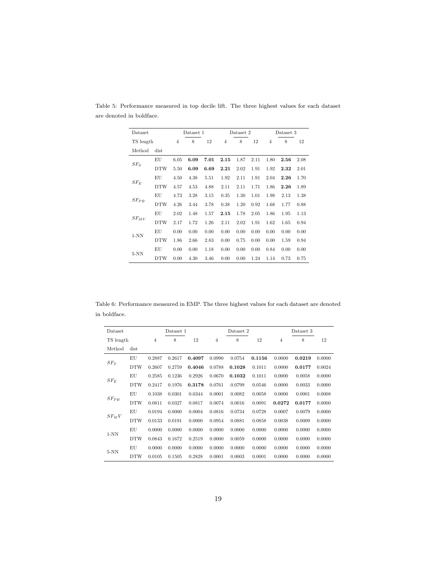| Dataset   |            | Dataset 1      |      |      | Dataset 2      |      |      | Dataset 3      |      |      |
|-----------|------------|----------------|------|------|----------------|------|------|----------------|------|------|
| TS length |            | $\overline{4}$ | 8    | 12   | $\overline{4}$ | 8    | 12   | $\overline{4}$ | 8    | 12   |
| Method    | dist       |                |      |      |                |      |      |                |      |      |
|           | EU         | 6.05           | 6.09 | 7.01 | 2.15           | 1.87 | 2.11 | 1.80           | 2.56 | 2.08 |
| $SF_S$    | <b>DTW</b> | 5.50           | 6.09 | 6.69 | 2.21           | 2.02 | 1.91 | 1.92           | 2.32 | 2.01 |
| $SF_E$    | EU         | 4.50           | 4.38 | 5.51 | 1.92           | 2.11 | 1.91 | 2.04           | 2.26 | 1.70 |
|           | <b>DTW</b> | 4.57           | 4.53 | 4.88 | 2.11           | 2.11 | 1.71 | 1.86           | 2.26 | 1.89 |
|           | EU         | 4.73           | 3.28 | 3.15 | 0.35           | 1.30 | 1.01 | 1.98           | 2.13 | 1.38 |
| $SF_{PB}$ | <b>DTW</b> | 4.26           | 3.44 | 3.78 | 0.38           | 1.20 | 0.92 | 1.68           | 1.77 | 0.88 |
|           | EU         | 2.02           | 1.48 | 1.57 | 2.15           | 1.78 | 2.05 | 1.86           | 1.95 | 1.13 |
| $SF_{MV}$ | <b>DTW</b> | 2.17           | 1.72 | 1.26 | 2.11           | 2.02 | 1.91 | 1.62           | 1.65 | 0.94 |
|           | EU         | 0.00           | 0.00 | 0.00 | 0.00           | 0.00 | 0.00 | 0.00           | 0.00 | 0.00 |
| $1-NN$    | <b>DTW</b> | 1.86           | 2.66 | 2.83 | 0.00           | 0.75 | 0.00 | 0.00           | 1.59 | 0.94 |
|           | EU         | 0.00           | 0.00 | 1.18 | 0.00           | 0.00 | 0.00 | 0.84           | 0.00 | 0.00 |
| $5-NN$    | <b>DTW</b> | 0.00           | 4.30 | 3.46 | 0.00           | 0.00 | 1.24 | 1.14           | 0.73 | 0.75 |

<span id="page-18-0"></span>Table 5: Performance measured in top decile lift. The three highest values for each dataset are denoted in boldface.

<span id="page-18-1"></span>Table 6: Performance measured in EMP. The three highest values for each dataset are denoted in boldface.

| Dataset            |            |                | Dataset 1 |        |                | Dataset 2 |        |                | Dataset 3 |        |  |  |
|--------------------|------------|----------------|-----------|--------|----------------|-----------|--------|----------------|-----------|--------|--|--|
| TS length          |            | $\overline{4}$ | 8         | 12     | $\overline{4}$ | 8         | 12     | $\overline{4}$ | 8         | 12     |  |  |
| Method             | dist       |                |           |        |                |           |        |                |           |        |  |  |
| $SF_S$             | EU         | 0.2887         | 0.2617    | 0.4097 | 0.0990         | 0.0754    | 0.1156 | 0.0000         | 0.0219    | 0.0000 |  |  |
|                    | <b>DTW</b> | 0.2607         | 0.2759    | 0.4046 | 0.0788         | 0.1028    | 0.1011 | 0.0000         | 0.0177    | 0.0024 |  |  |
| $SF_E$             | EU         | 0.2585         | 0.1236    | 0.2926 | 0.0670         | 0.1032    | 0.1011 | 0.0000         | 0.0058    | 0.0000 |  |  |
|                    | <b>DTW</b> | 0.2417         | 0.1976    | 0.3178 | 0.0761         | 0.0799    | 0.0546 | 0.0000         | 0.0033    | 0.0000 |  |  |
|                    | EU         | 0.1038         | 0.0301    | 0.0344 | 0.0001         | 0.0082    | 0.0058 | 0.0000         | 0.0001    | 0.0008 |  |  |
| $S\mathbb{F}_{PB}$ | <b>DTW</b> | 0.0811         | 0.0327    | 0.0817 | 0.0074         | 0.0016    | 0.0091 | 0.0272         | 0.0177    | 0.0000 |  |  |
|                    | EU         | 0.0194         | 0.0000    | 0.0004 | 0.0816         | 0.0734    | 0.0728 | 0.0007         | 0.0079    | 0.0000 |  |  |
| $SF_MV$            | <b>DTW</b> | 0.0133         | 0.0191    | 0.0000 | 0.0954         | 0.0881    | 0.0858 | 0.0038         | 0.0009    | 0.0000 |  |  |
| $1-NN$             | EU         | 0.0000         | 0.0000    | 0.0000 | 0.0000         | 0.0000    | 0.0000 | 0.0000         | 0.0000    | 0.0000 |  |  |
|                    | <b>DTW</b> | 0.0843         | 0.1672    | 0.2519 | 0.0000         | 0.0059    | 0.0000 | 0.0000         | 0.0000    | 0.0000 |  |  |
|                    | EU         | 0.0000         | 0.0000    | 0.0000 | 0.0000         | 0.0000    | 0.0000 | 0.0000         | 0.0000    | 0.0000 |  |  |
| $5-NN$             | <b>DTW</b> | 0.0105         | 0.1505    | 0.2828 | 0.0001         | 0.0003    | 0.0001 | 0.0000         | 0.0000    | 0.0000 |  |  |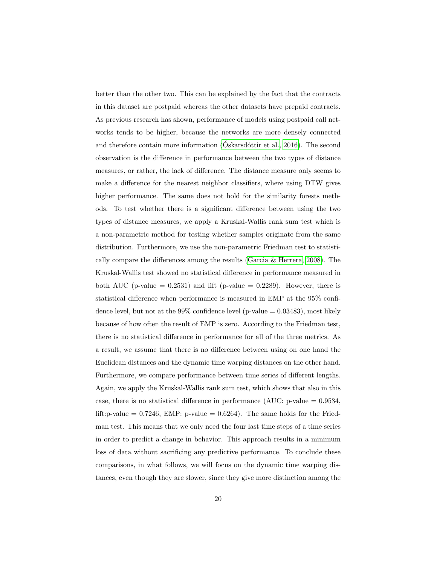better than the other two. This can be explained by the fact that the contracts in this dataset are postpaid whereas the other datasets have prepaid contracts. As previous research has shown, performance of models using postpaid call networks tends to be higher, because the networks are more densely connected and therefore contain more information  $(Óskarsdóttir et al., 2016)$ . The second observation is the difference in performance between the two types of distance measures, or rather, the lack of difference. The distance measure only seems to make a difference for the nearest neighbor classifiers, where using DTW gives higher performance. The same does not hold for the similarity forests methods. To test whether there is a significant difference between using the two types of distance measures, we apply a Kruskal-Wallis rank sum test which is a non-parametric method for testing whether samples originate from the same distribution. Furthermore, we use the non-parametric Friedman test to statistically compare the differences among the results [\(Garcia & Herrera, 2008\)](#page-28-6). The Kruskal-Wallis test showed no statistical difference in performance measured in both AUC (p-value  $= 0.2531$ ) and lift (p-value  $= 0.2289$ ). However, there is statistical difference when performance is measured in EMP at the 95% confidence level, but not at the 99% confidence level (p-value  $= 0.03483$ ), most likely because of how often the result of EMP is zero. According to the Friedman test, there is no statistical difference in performance for all of the three metrics. As a result, we assume that there is no difference between using on one hand the Euclidean distances and the dynamic time warping distances on the other hand. Furthermore, we compare performance between time series of different lengths. Again, we apply the Kruskal-Wallis rank sum test, which shows that also in this case, there is no statistical difference in performance (AUC: p-value  $= 0.9534$ , lift: p-value =  $0.7246$ , EMP: p-value =  $0.6264$ ). The same holds for the Friedman test. This means that we only need the four last time steps of a time series in order to predict a change in behavior. This approach results in a minimum loss of data without sacrificing any predictive performance. To conclude these comparisons, in what follows, we will focus on the dynamic time warping distances, even though they are slower, since they give more distinction among the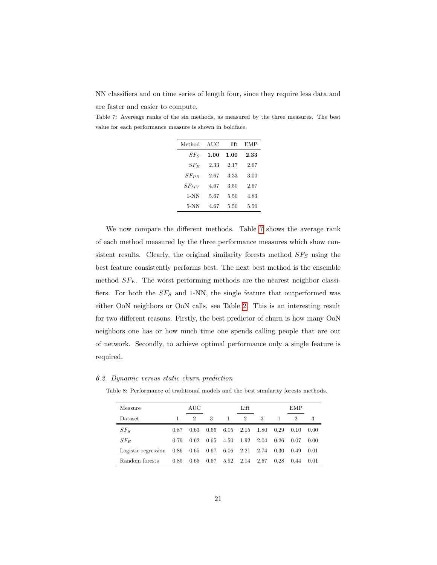NN classifiers and on time series of length four, since they require less data and are faster and easier to compute.

<span id="page-20-0"></span>Table 7: Avereage ranks of the six methods, as measured by the three measures. The best value for each performance measure is shown in boldface.

| Method    | AUC  | lift | EMP  |
|-----------|------|------|------|
| $SF_S$    | 1.00 | 1.00 | 2.33 |
| $SF_E$    | 2.33 | 2.17 | 2.67 |
| $SF_{PR}$ | 2.67 | 3.33 | 3.00 |
| $SF_{MV}$ | 4.67 | 3.50 | 2.67 |
| $1-NN$    | 5.67 | 5.50 | 4.83 |
| 5-NN      | 4.67 | 5.50 | 5.50 |

We now compare the different methods. Table [7](#page-20-0) shows the average rank of each method measured by the three performance measures which show consistent results. Clearly, the original similarity forests method  $SF_S$  using the best feature consistently performs best. The next best method is the ensemble method  $SF_E$ . The worst performing methods are the nearest neighbor classifiers. For both the  $SF_S$  and 1-NN, the single feature that outperformed was either OoN neighbors or OoN calls, see Table [2.](#page-8-0) This is an interesting result for two different reasons. Firstly, the best predictor of churn is how many OoN neighbors one has or how much time one spends calling people that are out of network. Secondly, to achieve optimal performance only a single feature is required.

<span id="page-20-1"></span>6.2. Dynamic versus static churn prediction

| Measure                  |      | AUC                         |      |              | Lift |      |      | EMP  |        |
|--------------------------|------|-----------------------------|------|--------------|------|------|------|------|--------|
| Dataset                  |      | $\mathcal{D}_{\mathcal{L}}$ | 3    | $\mathbf{1}$ | 2    | 3    |      | 2    | 3      |
| $SF_S$                   | 0.87 | 0.63                        | 0.66 | 6.05         | 2.15 | 1.80 | 0.29 | 0.10 | 0.00   |
| $SF_E$                   | 0.79 | 0.62                        | 0.65 | 4.50         | 1.92 | 2.04 | 0.26 | 0.07 | 0.00   |
| Logistic regression 0.86 |      | $0.65$ 0.67                 |      | 6.06         | 2.21 | 2.74 | 0.30 | 0.49 | 0.01   |
| Random forests           | 0.85 | 0.65                        | 0.67 | 5.92         | 2.14 | 2.67 | 0.28 | 0.44 | (0.01) |

Table 8: Performance of traditional models and the best similarity forests methods.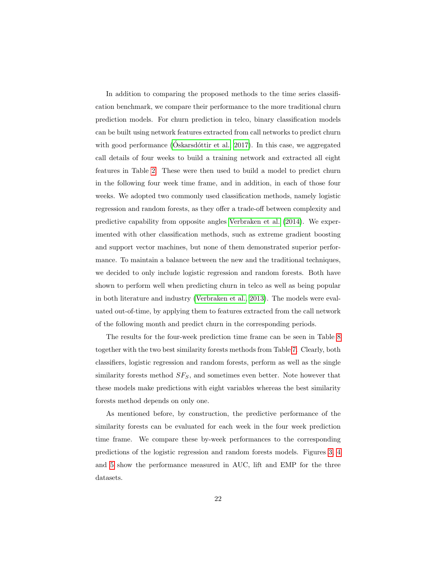In addition to comparing the proposed methods to the time series classification benchmark, we compare their performance to the more traditional churn prediction models. For churn prediction in telco, binary classification models can be built using network features extracted from call networks to predict churn with good performance ( $\acute{O}$ skarsd $\acute{o}$ ttir et al., 2017). In this case, we aggregated call details of four weeks to build a training network and extracted all eight features in Table [2.](#page-8-0) These were then used to build a model to predict churn in the following four week time frame, and in addition, in each of those four weeks. We adopted two commonly used classification methods, namely logistic regression and random forests, as they offer a trade-off between complexity and predictive capability from opposite angles [Verbraken et al.](#page-31-7) [\(2014\)](#page-31-7). We experimented with other classification methods, such as extreme gradient boosting and support vector machines, but none of them demonstrated superior performance. To maintain a balance between the new and the traditional techniques, we decided to only include logistic regression and random forests. Both have shown to perform well when predicting churn in telco as well as being popular in both literature and industry [\(Verbraken et al., 2013\)](#page-31-1). The models were evaluated out-of-time, by applying them to features extracted from the call network of the following month and predict churn in the corresponding periods.

The results for the four-week prediction time frame can be seen in Table [8](#page-20-1) together with the two best similarity forests methods from Table [7.](#page-20-0) Clearly, both classifiers, logistic regression and random forests, perform as well as the single similarity forests method  $SF_S$ , and sometimes even better. Note however that these models make predictions with eight variables whereas the best similarity forests method depends on only one.

As mentioned before, by construction, the predictive performance of the similarity forests can be evaluated for each week in the four week prediction time frame. We compare these by-week performances to the corresponding predictions of the logistic regression and random forests models. Figures [3,](#page-22-0) [4](#page-22-1) and [5](#page-23-0) show the performance measured in AUC, lift and EMP for the three datasets.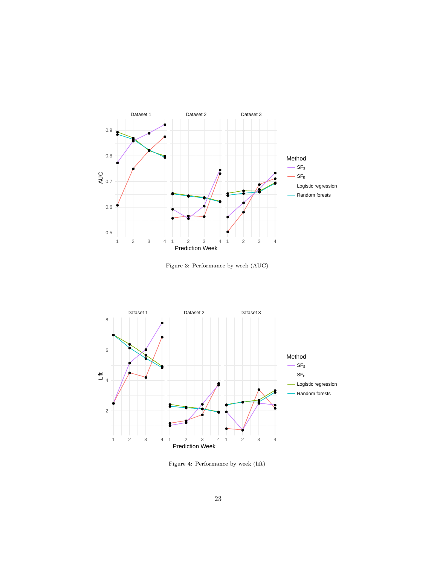<span id="page-22-0"></span>

Figure 3: Performance by week (AUC)

<span id="page-22-1"></span>

Figure 4: Performance by week (lift)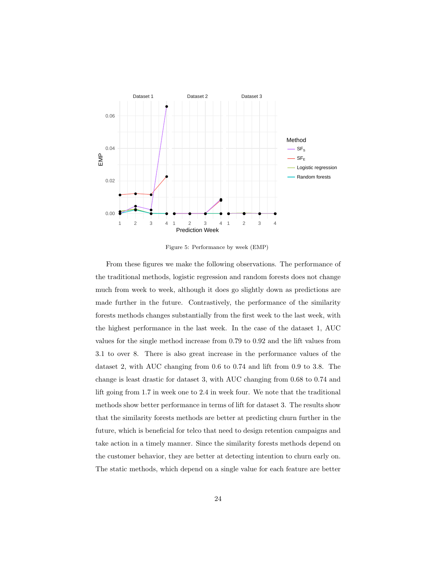<span id="page-23-0"></span>

Figure 5: Performance by week (EMP)

From these figures we make the following observations. The performance of the traditional methods, logistic regression and random forests does not change much from week to week, although it does go slightly down as predictions are made further in the future. Contrastively, the performance of the similarity forests methods changes substantially from the first week to the last week, with the highest performance in the last week. In the case of the dataset 1, AUC values for the single method increase from 0.79 to 0.92 and the lift values from 3.1 to over 8. There is also great increase in the performance values of the dataset 2, with AUC changing from 0.6 to 0.74 and lift from 0.9 to 3.8. The change is least drastic for dataset 3, with AUC changing from 0.68 to 0.74 and lift going from 1.7 in week one to 2.4 in week four. We note that the traditional methods show better performance in terms of lift for dataset 3. The results show that the similarity forests methods are better at predicting churn further in the future, which is beneficial for telco that need to design retention campaigns and take action in a timely manner. Since the similarity forests methods depend on the customer behavior, they are better at detecting intention to churn early on. The static methods, which depend on a single value for each feature are better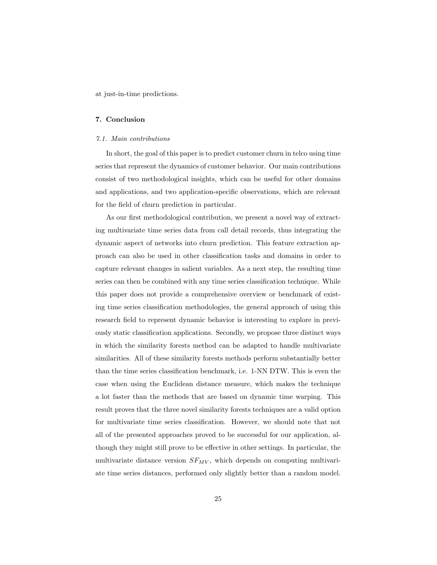at just-in-time predictions.

# <span id="page-24-0"></span>7. Conclusion

#### 7.1. Main contributions

In short, the goal of this paper is to predict customer churn in telco using time series that represent the dynamics of customer behavior. Our main contributions consist of two methodological insights, which can be useful for other domains and applications, and two application-specific observations, which are relevant for the field of churn prediction in particular.

As our first methodological contribution, we present a novel way of extracting multivariate time series data from call detail records, thus integrating the dynamic aspect of networks into churn prediction. This feature extraction approach can also be used in other classification tasks and domains in order to capture relevant changes in salient variables. As a next step, the resulting time series can then be combined with any time series classification technique. While this paper does not provide a comprehensive overview or benchmark of existing time series classification methodologies, the general approach of using this research field to represent dynamic behavior is interesting to explore in previously static classification applications. Secondly, we propose three distinct ways in which the similarity forests method can be adapted to handle multivariate similarities. All of these similarity forests methods perform substantially better than the time series classification benchmark, i.e. 1-NN DTW. This is even the case when using the Euclidean distance measure, which makes the technique a lot faster than the methods that are based on dynamic time warping. This result proves that the three novel similarity forests techniques are a valid option for multivariate time series classification. However, we should note that not all of the presented approaches proved to be successful for our application, although they might still prove to be effective in other settings. In particular, the multivariate distance version  $SF_{MV}$ , which depends on computing multivariate time series distances, performed only slightly better than a random model.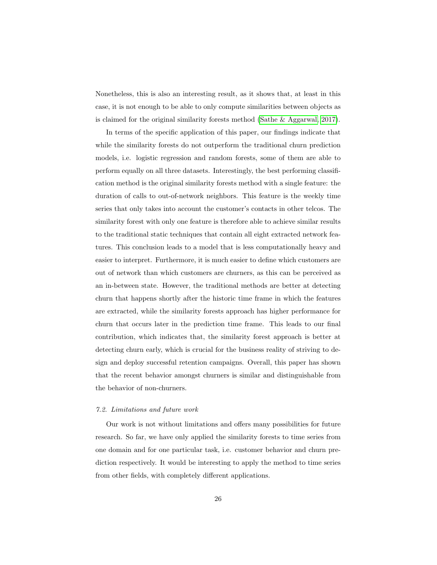Nonetheless, this is also an interesting result, as it shows that, at least in this case, it is not enough to be able to only compute similarities between objects as is claimed for the original similarity forests method [\(Sathe & Aggarwal, 2017\)](#page-30-1).

In terms of the specific application of this paper, our findings indicate that while the similarity forests do not outperform the traditional churn prediction models, i.e. logistic regression and random forests, some of them are able to perform equally on all three datasets. Interestingly, the best performing classification method is the original similarity forests method with a single feature: the duration of calls to out-of-network neighbors. This feature is the weekly time series that only takes into account the customer's contacts in other telcos. The similarity forest with only one feature is therefore able to achieve similar results to the traditional static techniques that contain all eight extracted network features. This conclusion leads to a model that is less computationally heavy and easier to interpret. Furthermore, it is much easier to define which customers are out of network than which customers are churners, as this can be perceived as an in-between state. However, the traditional methods are better at detecting churn that happens shortly after the historic time frame in which the features are extracted, while the similarity forests approach has higher performance for churn that occurs later in the prediction time frame. This leads to our final contribution, which indicates that, the similarity forest approach is better at detecting churn early, which is crucial for the business reality of striving to design and deploy successful retention campaigns. Overall, this paper has shown that the recent behavior amongst churners is similar and distinguishable from the behavior of non-churners.

# 7.2. Limitations and future work

Our work is not without limitations and offers many possibilities for future research. So far, we have only applied the similarity forests to time series from one domain and for one particular task, i.e. customer behavior and churn prediction respectively. It would be interesting to apply the method to time series from other fields, with completely different applications.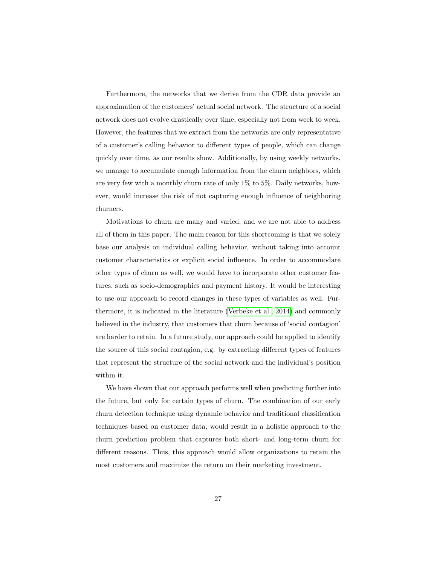Furthermore, the networks that we derive from the CDR data provide an approximation of the customers' actual social network. The structure of a social network does not evolve drastically over time, especially not from week to week. However, the features that we extract from the networks are only representative of a customer's calling behavior to different types of people, which can change quickly over time, as our results show. Additionally, by using weekly networks, we manage to accumulate enough information from the churn neighbors, which are very few with a monthly churn rate of only 1% to 5%. Daily networks, however, would increase the risk of not capturing enough influence of neighboring churners.

Motivations to churn are many and varied, and we are not able to address all of them in this paper. The main reason for this shortcoming is that we solely base our analysis on individual calling behavior, without taking into account customer characteristics or explicit social influence. In order to accommodate other types of churn as well, we would have to incorporate other customer features, such as socio-demographics and payment history. It would be interesting to use our approach to record changes in these types of variables as well. Furthermore, it is indicated in the literature [\(Verbeke et al., 2014\)](#page-31-2) and commonly believed in the industry, that customers that churn because of 'social contagion' are harder to retain. In a future study, our approach could be applied to identify the source of this social contagion, e.g. by extracting different types of features that represent the structure of the social network and the individual's position within it.

We have shown that our approach performs well when predicting further into the future, but only for certain types of churn. The combination of our early churn detection technique using dynamic behavior and traditional classification techniques based on customer data, would result in a holistic approach to the churn prediction problem that captures both short- and long-term churn for different reasons. Thus, this approach would allow organizations to retain the most customers and maximize the return on their marketing investment.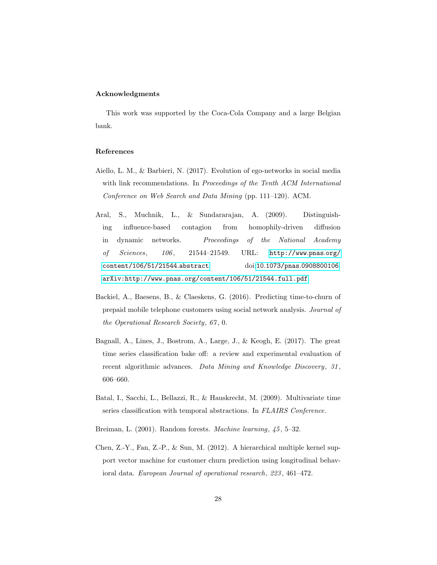# Acknowledgments

This work was supported by the Coca-Cola Company and a large Belgian bank.

# References

- <span id="page-27-3"></span>Aiello, L. M., & Barbieri, N. (2017). Evolution of ego-networks in social media with link recommendations. In Proceedings of the Tenth ACM International Conference on Web Search and Data Mining (pp. 111–120). ACM.
- <span id="page-27-4"></span>Aral, S., Muchnik, L., & Sundararajan, A. (2009). Distinguishing influence-based contagion from homophily-driven diffusion in dynamic networks. Proceedings of the National Academy of Sciences, 106, 21544-21549. URL: [http://www](http://www.pnas.org/content/106/51/21544.abstract).pnas.org/ [content/106/51/21544](http://www.pnas.org/content/106/51/21544.abstract).abstract. doi:10.1073/pnas.[0908800106](http://dx.doi.org/10.1073/pnas.0908800106). [arXiv:http://www.pnas.org/content/106/51/21544.full.pdf](http://arxiv.org/abs/http://www.pnas.org/content/106/51/21544.full.pdf).
- <span id="page-27-0"></span>Backiel, A., Baesens, B., & Claeskens, G. (2016). Predicting time-to-churn of prepaid mobile telephone customers using social network analysis. Journal of the Operational Research Society, 67 , 0.
- <span id="page-27-2"></span>Bagnall, A., Lines, J., Bostrom, A., Large, J., & Keogh, E. (2017). The great time series classification bake off: a review and experimental evaluation of recent algorithmic advances. Data Mining and Knowledge Discovery, 31, 606–660.
- <span id="page-27-5"></span>Batal, I., Sacchi, L., Bellazzi, R., & Hauskrecht, M. (2009). Multivariate time series classification with temporal abstractions. In FLAIRS Conference.
- <span id="page-27-6"></span>Breiman, L. (2001). Random forests. Machine learning, 45, 5–32.
- <span id="page-27-1"></span>Chen, Z.-Y., Fan, Z.-P., & Sun, M. (2012). A hierarchical multiple kernel support vector machine for customer churn prediction using longitudinal behavioral data. European Journal of operational research, 223 , 461–472.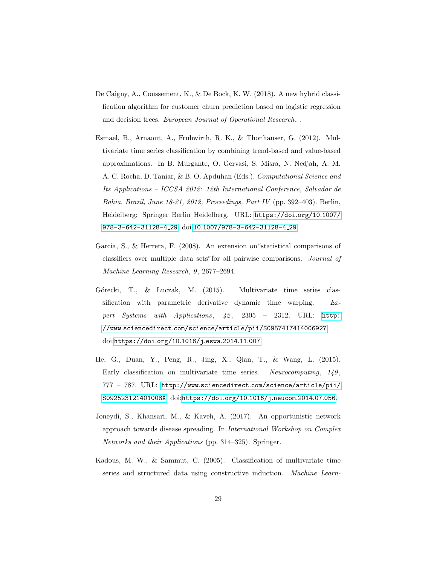- <span id="page-28-0"></span>De Caigny, A., Coussement, K., & De Bock, K. W. (2018). A new hybrid classification algorithm for customer churn prediction based on logistic regression and decision trees. European Journal of Operational Research,.
- <span id="page-28-4"></span>Esmael, B., Arnaout, A., Fruhwirth, R. K., & Thonhauser, G. (2012). Multivariate time series classification by combining trend-based and value-based approximations. In B. Murgante, O. Gervasi, S. Misra, N. Nedjah, A. M. A. C. Rocha, D. Taniar, & B. O. Apduhan (Eds.), Computational Science and Its Applications – ICCSA 2012: 12th International Conference, Salvador de Bahia, Brazil, June 18-21, 2012, Proceedings, Part IV (pp. 392–403). Berlin, Heidelberg: Springer Berlin Heidelberg. URL: [https://doi](https://doi.org/10.1007/978-3-642-31128-4_29).org/10.1007/ [978-3-642-31128-4](https://doi.org/10.1007/978-3-642-31128-4_29) 29. doi:10.[1007/978-3-642-31128-4](http://dx.doi.org/10.1007/978-3-642-31128-4_29) 29.
- <span id="page-28-6"></span>Garcia, S., & Herrera, F. (2008). An extension on"statistical comparisons of classifiers over multiple data sets"for all pairwise comparisons. Journal of Machine Learning Research, 9, 2677-2694.
- <span id="page-28-5"></span>Górecki, T., & Luczak, M. (2015). Multivariate time series classification with parametric derivative dynamic time warping. Expert Systems with Applications,  $42$ ,  $2305 - 2312$ . URL: [http:](http://www.sciencedirect.com/science/article/pii/S0957417414006927) //www.sciencedirect.[com/science/article/pii/S0957417414006927](http://www.sciencedirect.com/science/article/pii/S0957417414006927). doi:[https://doi](http://dx.doi.org/https://doi.org/10.1016/j.eswa.2014.11.007).org/10.1016/j.eswa.2014.11.007.
- <span id="page-28-2"></span>He, G., Duan, Y., Peng, R., Jing, X., Qian, T., & Wang, L. (2015). Early classification on multivariate time series. Neurocomputing, 149, 777 – 787. URL: http://www.sciencedirect.[com/science/article/pii/](http://www.sciencedirect.com/science/article/pii/S092523121401008X) [S092523121401008X](http://www.sciencedirect.com/science/article/pii/S092523121401008X). doi:[https://doi](http://dx.doi.org/https://doi.org/10.1016/j.neucom.2014.07.056).org/10.1016/j.neucom.2014.07.056.
- <span id="page-28-1"></span>Joneydi, S., Khansari, M., & Kaveh, A. (2017). An opportunistic network approach towards disease spreading. In International Workshop on Complex Networks and their Applications (pp. 314–325). Springer.
- <span id="page-28-3"></span>Kadous, M. W., & Sammut, C. (2005). Classification of multivariate time series and structured data using constructive induction. Machine Learn-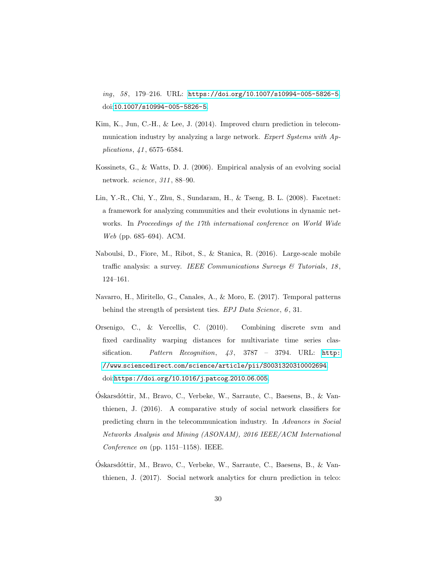ing, 58 , 179–216. URL: https://doi.org/10.[1007/s10994-005-5826-5](https://doi.org/10.1007/s10994-005-5826-5). doi:10.[1007/s10994-005-5826-5](http://dx.doi.org/10.1007/s10994-005-5826-5).

- <span id="page-29-1"></span>Kim, K., Jun, C.-H., & Lee, J. (2014). Improved churn prediction in telecommunication industry by analyzing a large network. Expert Systems with Applications, 41 , 6575–6584.
- <span id="page-29-3"></span>Kossinets, G., & Watts, D. J. (2006). Empirical analysis of an evolving social network. science, 311 , 88–90.
- <span id="page-29-4"></span>Lin, Y.-R., Chi, Y., Zhu, S., Sundaram, H., & Tseng, B. L. (2008). Facetnet: a framework for analyzing communities and their evolutions in dynamic networks. In Proceedings of the 17th international conference on World Wide Web (pp. 685–694). ACM.
- <span id="page-29-6"></span>Naboulsi, D., Fiore, M., Ribot, S., & Stanica, R. (2016). Large-scale mobile traffic analysis: a survey. IEEE Communications Surveys  $\mathcal{C}$  Tutorials, 18, 124–161.
- <span id="page-29-2"></span>Navarro, H., Miritello, G., Canales, A., & Moro, E. (2017). Temporal patterns behind the strength of persistent ties. EPJ Data Science, 6, 31.
- <span id="page-29-5"></span>Orsenigo, C., & Vercellis, C. (2010). Combining discrete svm and fixed cardinality warping distances for multivariate time series classification. Pattern Recognition,  $43$ ,  $3787 - 3794$ . URL: [http:](http://www.sciencedirect.com/science/article/pii/S0031320310002694) //www.sciencedirect.[com/science/article/pii/S0031320310002694](http://www.sciencedirect.com/science/article/pii/S0031320310002694). doi:[https://doi](http://dx.doi.org/https://doi.org/10.1016/j.patcog.2010.06.005).org/10.1016/j.patcog.2010.06.005.
- <span id="page-29-7"></span>Óskarsdóttir, M., Bravo, C., Verbeke, W., Sarraute, C., Baesens, B., & Vanthienen, J. (2016). A comparative study of social network classifiers for predicting churn in the telecommunication industry. In Advances in Social Networks Analysis and Mining (ASONAM), 2016 IEEE/ACM International Conference on (pp. 1151–1158). IEEE.
- <span id="page-29-0"></span>Oskarsd´ottir, M., Bravo, C., Verbeke, W., Sarraute, C., Baesens, B., & Van- ´ thienen, J. (2017). Social network analytics for churn prediction in telco: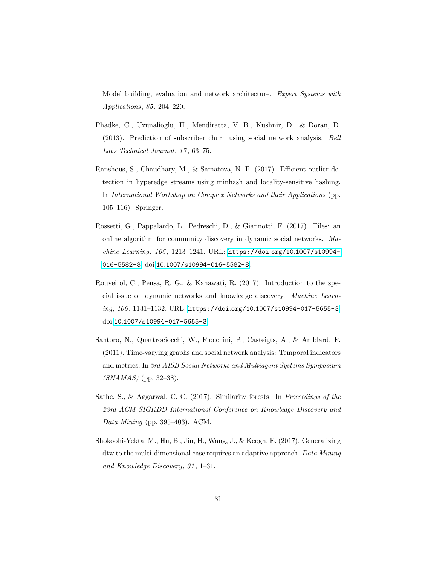Model building, evaluation and network architecture. Expert Systems with Applications, 85 , 204–220.

- <span id="page-30-0"></span>Phadke, C., Uzunalioglu, H., Mendiratta, V. B., Kushnir, D., & Doran, D. (2013). Prediction of subscriber churn using social network analysis. Bell Labs Technical Journal, 17, 63-75.
- <span id="page-30-5"></span>Ranshous, S., Chaudhary, M., & Samatova, N. F. (2017). Efficient outlier detection in hyperedge streams using minhash and locality-sensitive hashing. In International Workshop on Complex Networks and their Applications (pp. 105–116). Springer.
- <span id="page-30-4"></span>Rossetti, G., Pappalardo, L., Pedreschi, D., & Giannotti, F. (2017). Tiles: an online algorithm for community discovery in dynamic social networks. Machine Learning, 106 , 1213–1241. URL: https://doi.org/10.[1007/s10994-](https://doi.org/10.1007/s10994-016-5582-8) [016-5582-8](https://doi.org/10.1007/s10994-016-5582-8). doi:10.[1007/s10994-016-5582-8](http://dx.doi.org/10.1007/s10994-016-5582-8).
- <span id="page-30-2"></span>Rouveirol, C., Pensa, R. G., & Kanawati, R. (2017). Introduction to the special issue on dynamic networks and knowledge discovery. Machine Learning, 106 , 1131–1132. URL: https://doi.org/10.[1007/s10994-017-5655-3](https://doi.org/10.1007/s10994-017-5655-3). doi:10.[1007/s10994-017-5655-3](http://dx.doi.org/10.1007/s10994-017-5655-3).
- <span id="page-30-3"></span>Santoro, N., Quattrociocchi, W., Flocchini, P., Casteigts, A., & Amblard, F. (2011). Time-varying graphs and social network analysis: Temporal indicators and metrics. In 3rd AISB Social Networks and Multiagent Systems Symposium  $(SNAMAS)$  (pp. 32–38).
- <span id="page-30-1"></span>Sathe, S., & Aggarwal, C. C. (2017). Similarity forests. In Proceedings of the 23rd ACM SIGKDD International Conference on Knowledge Discovery and Data Mining (pp. 395–403). ACM.
- <span id="page-30-6"></span>Shokoohi-Yekta, M., Hu, B., Jin, H., Wang, J., & Keogh, E. (2017). Generalizing dtw to the multi-dimensional case requires an adaptive approach. Data Mining and Knowledge Discovery, 31, 1-31.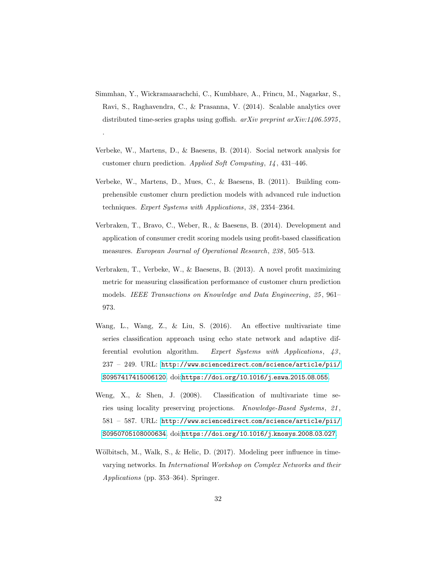<span id="page-31-3"></span>Simmhan, Y., Wickramaarachchi, C., Kumbhare, A., Frincu, M., Nagarkar, S., Ravi, S., Raghavendra, C., & Prasanna, V. (2014). Scalable analytics over distributed time-series graphs using goffish.  $arXiv$  preprint  $arXiv:1406.5975$ ,

.

- <span id="page-31-2"></span>Verbeke, W., Martens, D., & Baesens, B. (2014). Social network analysis for customer churn prediction. Applied Soft Computing, 14 , 431–446.
- <span id="page-31-0"></span>Verbeke, W., Martens, D., Mues, C., & Baesens, B. (2011). Building comprehensible customer churn prediction models with advanced rule induction techniques. Expert Systems with Applications, 38 , 2354–2364.
- <span id="page-31-7"></span>Verbraken, T., Bravo, C., Weber, R., & Baesens, B. (2014). Development and application of consumer credit scoring models using profit-based classification measures. European Journal of Operational Research, 238 , 505–513.
- <span id="page-31-1"></span>Verbraken, T., Verbeke, W., & Baesens, B. (2013). A novel profit maximizing metric for measuring classification performance of customer churn prediction models. IEEE Transactions on Knowledge and Data Engineering, 25 , 961– 973.
- <span id="page-31-6"></span>Wang, L., Wang, Z., & Liu, S. (2016). An effective multivariate time series classification approach using echo state network and adaptive differential evolution algorithm. Expert Systems with Applications,  $43$ , 237 – 249. URL: http://www.sciencedirect.[com/science/article/pii/](http://www.sciencedirect.com/science/article/pii/S0957417415006120) [S0957417415006120](http://www.sciencedirect.com/science/article/pii/S0957417415006120). doi:[https://doi](http://dx.doi.org/https://doi.org/10.1016/j.eswa.2015.08.055).org/10.1016/j.eswa.2015.08.055.
- <span id="page-31-5"></span>Weng, X., & Shen, J. (2008). Classification of multivariate time series using locality preserving projections. Knowledge-Based Systems, 21 , 581 – 587. URL: http://www.sciencedirect.[com/science/article/pii/](http://www.sciencedirect.com/science/article/pii/S0950705108000634) [S0950705108000634](http://www.sciencedirect.com/science/article/pii/S0950705108000634). doi:[https://doi](http://dx.doi.org/https://doi.org/10.1016/j.knosys.2008.03.027).org/10.1016/j.knosys.2008.03.027.
- <span id="page-31-4"></span>Wölbitsch, M., Walk, S., & Helic, D.  $(2017)$ . Modeling peer influence in timevarying networks. In International Workshop on Complex Networks and their Applications (pp. 353–364). Springer.